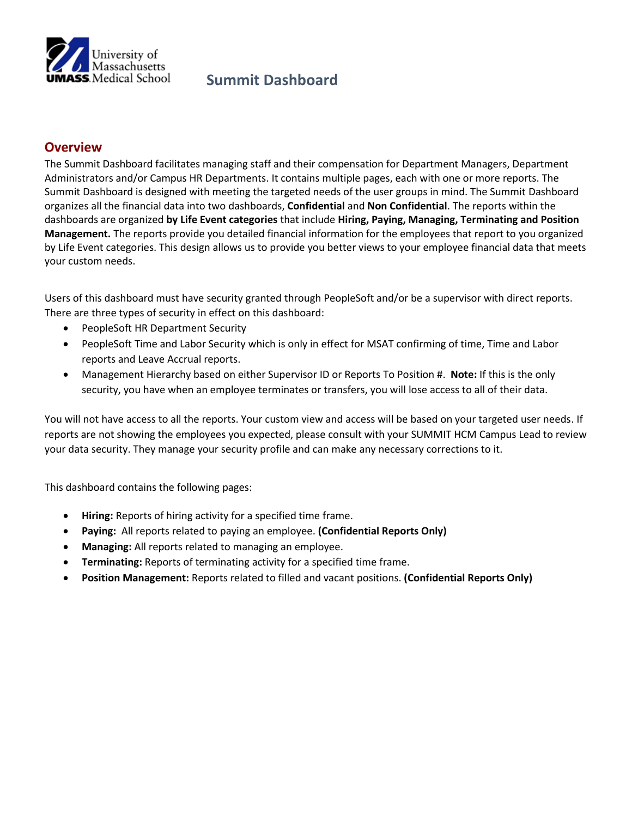

## **Summit Dashboard**

## **Overview**

The Summit Dashboard facilitates managing staff and their compensation for Department Managers, Department Administrators and/or Campus HR Departments. It contains multiple pages, each with one or more reports. The Summit Dashboard is designed with meeting the targeted needs of the user groups in mind. The Summit Dashboard organizes all the financial data into two dashboards, **Confidential** and **Non Confidential**. The reports within the dashboards are organized **by Life Event categories** that include **Hiring, Paying, Managing, Terminating and Position Management.** The reports provide you detailed financial information for the employees that report to you organized by Life Event categories. This design allows us to provide you better views to your employee financial data that meets your custom needs.

Users of this dashboard must have security granted through PeopleSoft and/or be a supervisor with direct reports. There are three types of security in effect on this dashboard:

- PeopleSoft HR Department Security
- PeopleSoft Time and Labor Security which is only in effect for MSAT confirming of time, Time and Labor reports and Leave Accrual reports.
- Management Hierarchy based on either Supervisor ID or Reports To Position #. **Note:** If this is the only security, you have when an employee terminates or transfers, you will lose access to all of their data.

You will not have access to all the reports. Your custom view and access will be based on your targeted user needs. If reports are not showing the employees you expected, please consult with your SUMMIT HCM Campus Lead to review your data security. They manage your security profile and can make any necessary corrections to it.

This dashboard contains the following pages:

- **Hiring:** Reports of hiring activity for a specified time frame.
- **Paying:** All reports related to paying an employee. **(Confidential Reports Only)**
- **Managing:** All reports related to managing an employee.
- **Terminating:** Reports of terminating activity for a specified time frame.
- **Position Management:** Reports related to filled and vacant positions. **(Confidential Reports Only)**